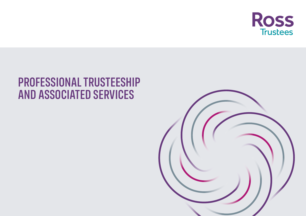

# PROFESSIONAL TRUSTEESHIP AND ASSOCIATED SERVICES

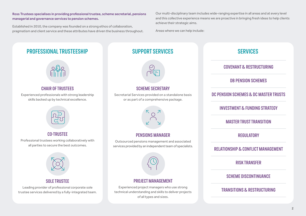Ross Trustees specialises in providing professional trustee, scheme secretarial, pensions managerial and governance services to pension schemes.

Established in 2010, the company was founded on a strong ethos of collaboration, pragmatism and client service and these attributes have driven the business throughout. Our multi-disciplinary team includes wide-ranging expertise in all areas and at every level and this collective experience means we are proactive in bringing fresh ideas to help clients achieve their strategic aims.

Areas where we can help include:

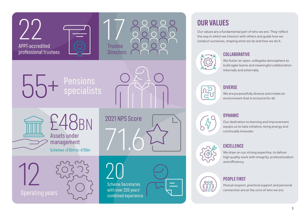

## OUR VALUES

Our values are a fundamental part of who we are. They reflect conduct ourselves, shaping what we do and how we do it.



### **COLLABORATIVE**

We foster an open, collegiate atmosphere to build agile teams and meaningful collaboration internally and externally.



#### DIVERSE

We are purposefully diverse and create an environment that is inclusive for all.



Our dedication to learning and improvement equips us to take initiative, bring energy and continually innovate.



We draw on our strong expertise, to deliver high quality work with integrity, professionalism and efficiency.



#### PEOPLE FIRST

Mutual respect, practical support and personal connection are at the core of who we are.